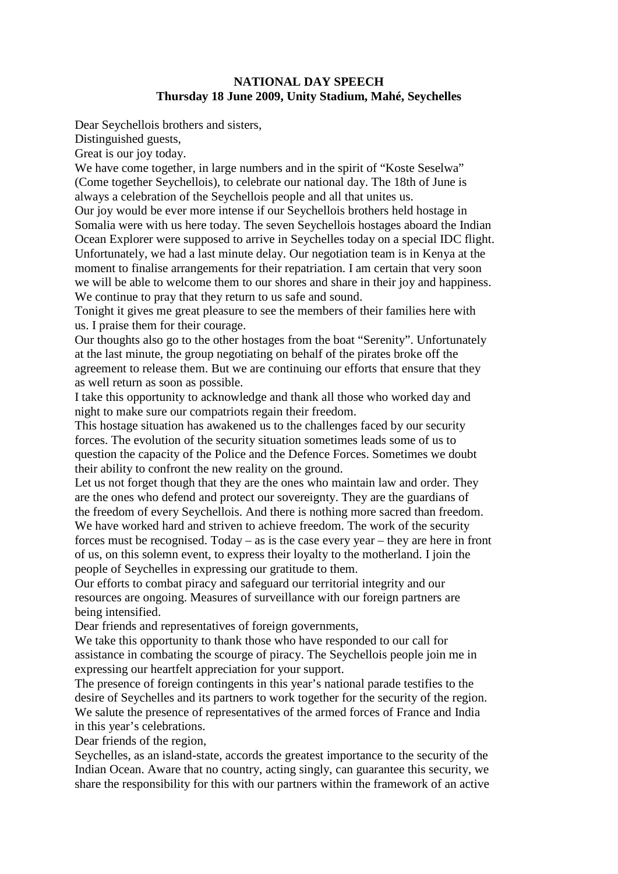## **NATIONAL DAY SPEECH Thursday 18 June 2009, Unity Stadium, Mahé, Seychelles**

Dear Seychellois brothers and sisters,

Distinguished guests,

Great is our joy today.

We have come together, in large numbers and in the spirit of "Koste Seselwa" (Come together Seychellois), to celebrate our national day. The 18th of June is always a celebration of the Seychellois people and all that unites us. Our joy would be ever more intense if our Seychellois brothers held hostage in

Somalia were with us here today. The seven Seychellois hostages aboard the Indian Ocean Explorer were supposed to arrive in Seychelles today on a special IDC flight. Unfortunately, we had a last minute delay. Our negotiation team is in Kenya at the moment to finalise arrangements for their repatriation. I am certain that very soon we will be able to welcome them to our shores and share in their joy and happiness. We continue to pray that they return to us safe and sound.

Tonight it gives me great pleasure to see the members of their families here with us. I praise them for their courage.

Our thoughts also go to the other hostages from the boat "Serenity". Unfortunately at the last minute, the group negotiating on behalf of the pirates broke off the agreement to release them. But we are continuing our efforts that ensure that they as well return as soon as possible.

I take this opportunity to acknowledge and thank all those who worked day and night to make sure our compatriots regain their freedom.

This hostage situation has awakened us to the challenges faced by our security forces. The evolution of the security situation sometimes leads some of us to question the capacity of the Police and the Defence Forces. Sometimes we doubt their ability to confront the new reality on the ground.

Let us not forget though that they are the ones who maintain law and order. They are the ones who defend and protect our sovereignty. They are the guardians of the freedom of every Seychellois. And there is nothing more sacred than freedom. We have worked hard and striven to achieve freedom. The work of the security forces must be recognised. Today – as is the case every year – they are here in front of us, on this solemn event, to express their loyalty to the motherland. I join the people of Seychelles in expressing our gratitude to them.

Our efforts to combat piracy and safeguard our territorial integrity and our resources are ongoing. Measures of surveillance with our foreign partners are being intensified.

Dear friends and representatives of foreign governments,

We take this opportunity to thank those who have responded to our call for assistance in combating the scourge of piracy. The Seychellois people join me in expressing our heartfelt appreciation for your support.

The presence of foreign contingents in this year's national parade testifies to the desire of Seychelles and its partners to work together for the security of the region. We salute the presence of representatives of the armed forces of France and India in this year's celebrations.

Dear friends of the region,

Seychelles, as an island-state, accords the greatest importance to the security of the Indian Ocean. Aware that no country, acting singly, can guarantee this security, we share the responsibility for this with our partners within the framework of an active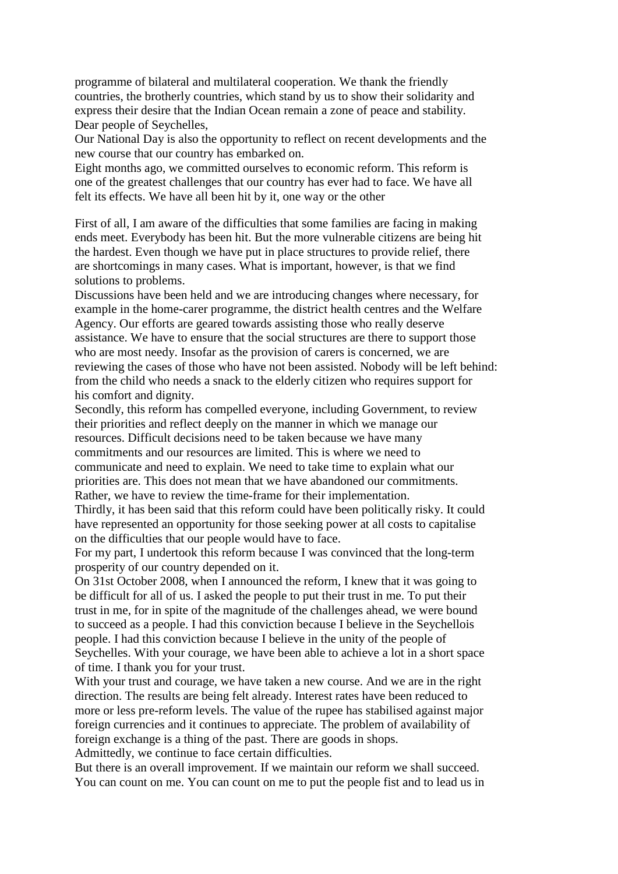programme of bilateral and multilateral cooperation. We thank the friendly countries, the brotherly countries, which stand by us to show their solidarity and express their desire that the Indian Ocean remain a zone of peace and stability. Dear people of Seychelles,

Our National Day is also the opportunity to reflect on recent developments and the new course that our country has embarked on.

Eight months ago, we committed ourselves to economic reform. This reform is one of the greatest challenges that our country has ever had to face. We have all felt its effects. We have all been hit by it, one way or the other

First of all, I am aware of the difficulties that some families are facing in making ends meet. Everybody has been hit. But the more vulnerable citizens are being hit the hardest. Even though we have put in place structures to provide relief, there are shortcomings in many cases. What is important, however, is that we find solutions to problems.

Discussions have been held and we are introducing changes where necessary, for example in the home-carer programme, the district health centres and the Welfare Agency. Our efforts are geared towards assisting those who really deserve assistance. We have to ensure that the social structures are there to support those who are most needy. Insofar as the provision of carers is concerned, we are reviewing the cases of those who have not been assisted. Nobody will be left behind: from the child who needs a snack to the elderly citizen who requires support for his comfort and dignity.

Secondly, this reform has compelled everyone, including Government, to review their priorities and reflect deeply on the manner in which we manage our resources. Difficult decisions need to be taken because we have many commitments and our resources are limited. This is where we need to communicate and need to explain. We need to take time to explain what our priorities are. This does not mean that we have abandoned our commitments. Rather, we have to review the time-frame for their implementation.

Thirdly, it has been said that this reform could have been politically risky. It could have represented an opportunity for those seeking power at all costs to capitalise on the difficulties that our people would have to face.

For my part, I undertook this reform because I was convinced that the long-term prosperity of our country depended on it.

On 31st October 2008, when I announced the reform, I knew that it was going to be difficult for all of us. I asked the people to put their trust in me. To put their trust in me, for in spite of the magnitude of the challenges ahead, we were bound to succeed as a people. I had this conviction because I believe in the Seychellois people. I had this conviction because I believe in the unity of the people of Seychelles. With your courage, we have been able to achieve a lot in a short space of time. I thank you for your trust.

With your trust and courage, we have taken a new course. And we are in the right direction. The results are being felt already. Interest rates have been reduced to more or less pre-reform levels. The value of the rupee has stabilised against major foreign currencies and it continues to appreciate. The problem of availability of foreign exchange is a thing of the past. There are goods in shops.

Admittedly, we continue to face certain difficulties.

But there is an overall improvement. If we maintain our reform we shall succeed. You can count on me. You can count on me to put the people fist and to lead us in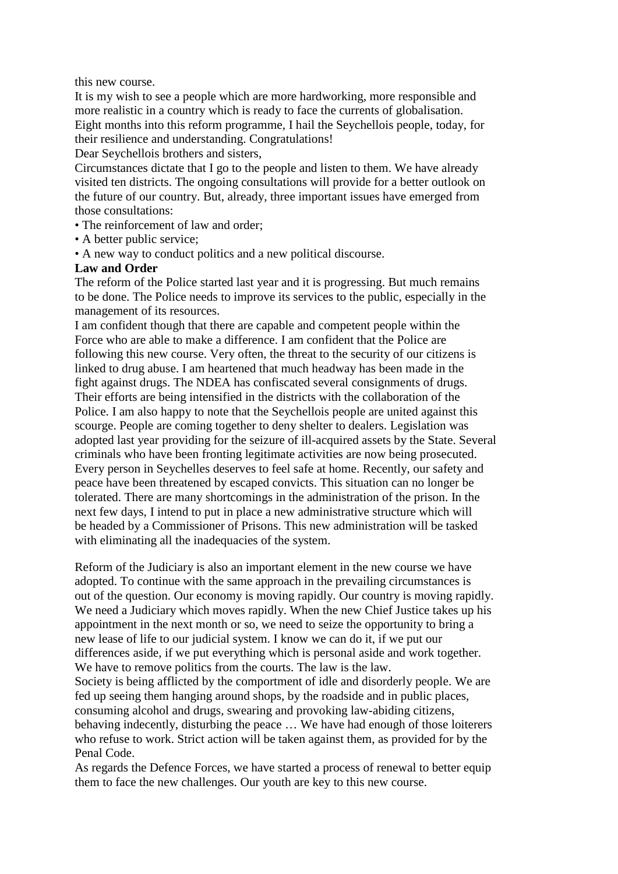this new course.

It is my wish to see a people which are more hardworking, more responsible and more realistic in a country which is ready to face the currents of globalisation. Eight months into this reform programme, I hail the Seychellois people, today, for their resilience and understanding. Congratulations!

Dear Seychellois brothers and sisters,

Circumstances dictate that I go to the people and listen to them. We have already visited ten districts. The ongoing consultations will provide for a better outlook on the future of our country. But, already, three important issues have emerged from those consultations:

- The reinforcement of law and order;
- A better public service;
- A new way to conduct politics and a new political discourse.

## **Law and Order**

The reform of the Police started last year and it is progressing. But much remains to be done. The Police needs to improve its services to the public, especially in the management of its resources.

I am confident though that there are capable and competent people within the Force who are able to make a difference. I am confident that the Police are following this new course. Very often, the threat to the security of our citizens is linked to drug abuse. I am heartened that much headway has been made in the fight against drugs. The NDEA has confiscated several consignments of drugs. Their efforts are being intensified in the districts with the collaboration of the Police. I am also happy to note that the Seychellois people are united against this scourge. People are coming together to deny shelter to dealers. Legislation was adopted last year providing for the seizure of ill-acquired assets by the State. Several criminals who have been fronting legitimate activities are now being prosecuted. Every person in Seychelles deserves to feel safe at home. Recently, our safety and peace have been threatened by escaped convicts. This situation can no longer be tolerated. There are many shortcomings in the administration of the prison. In the next few days, I intend to put in place a new administrative structure which will be headed by a Commissioner of Prisons. This new administration will be tasked with eliminating all the inadequacies of the system.

Reform of the Judiciary is also an important element in the new course we have adopted. To continue with the same approach in the prevailing circumstances is out of the question. Our economy is moving rapidly. Our country is moving rapidly. We need a Judiciary which moves rapidly. When the new Chief Justice takes up his appointment in the next month or so, we need to seize the opportunity to bring a new lease of life to our judicial system. I know we can do it, if we put our differences aside, if we put everything which is personal aside and work together. We have to remove politics from the courts. The law is the law.

Society is being afflicted by the comportment of idle and disorderly people. We are fed up seeing them hanging around shops, by the roadside and in public places, consuming alcohol and drugs, swearing and provoking law-abiding citizens, behaving indecently, disturbing the peace … We have had enough of those loiterers who refuse to work. Strict action will be taken against them, as provided for by the Penal Code.

As regards the Defence Forces, we have started a process of renewal to better equip them to face the new challenges. Our youth are key to this new course.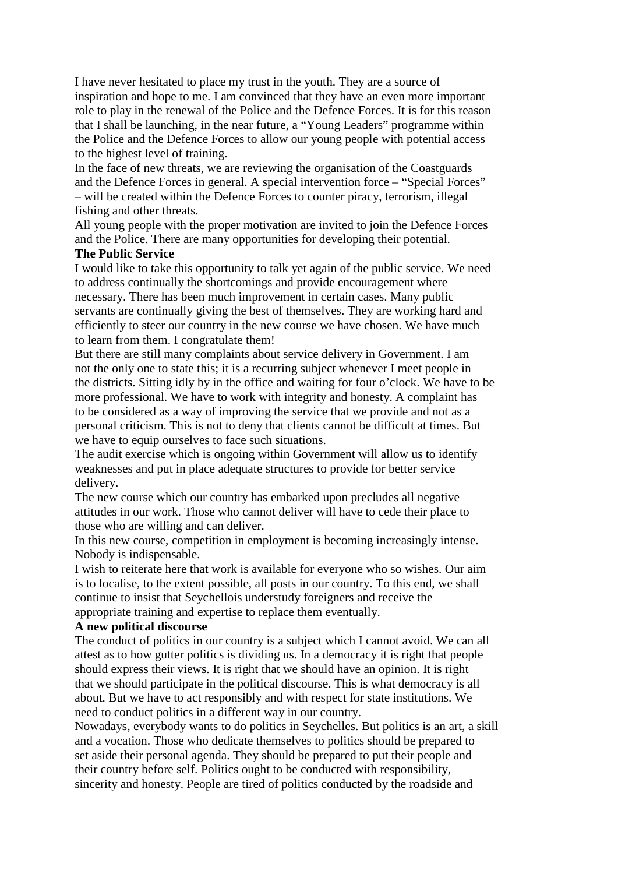I have never hesitated to place my trust in the youth. They are a source of inspiration and hope to me. I am convinced that they have an even more important role to play in the renewal of the Police and the Defence Forces. It is for this reason that I shall be launching, in the near future, a "Young Leaders" programme within the Police and the Defence Forces to allow our young people with potential access to the highest level of training.

In the face of new threats, we are reviewing the organisation of the Coastguards and the Defence Forces in general. A special intervention force – "Special Forces" – will be created within the Defence Forces to counter piracy, terrorism, illegal fishing and other threats.

All young people with the proper motivation are invited to join the Defence Forces and the Police. There are many opportunities for developing their potential.

## **The Public Service**

I would like to take this opportunity to talk yet again of the public service. We need to address continually the shortcomings and provide encouragement where necessary. There has been much improvement in certain cases. Many public servants are continually giving the best of themselves. They are working hard and efficiently to steer our country in the new course we have chosen. We have much to learn from them. I congratulate them!

But there are still many complaints about service delivery in Government. I am not the only one to state this; it is a recurring subject whenever I meet people in the districts. Sitting idly by in the office and waiting for four o'clock. We have to be more professional. We have to work with integrity and honesty. A complaint has to be considered as a way of improving the service that we provide and not as a personal criticism. This is not to deny that clients cannot be difficult at times. But we have to equip ourselves to face such situations.

The audit exercise which is ongoing within Government will allow us to identify weaknesses and put in place adequate structures to provide for better service delivery.

The new course which our country has embarked upon precludes all negative attitudes in our work. Those who cannot deliver will have to cede their place to those who are willing and can deliver.

In this new course, competition in employment is becoming increasingly intense. Nobody is indispensable.

I wish to reiterate here that work is available for everyone who so wishes. Our aim is to localise, to the extent possible, all posts in our country. To this end, we shall continue to insist that Seychellois understudy foreigners and receive the appropriate training and expertise to replace them eventually.

## **A new political discourse**

The conduct of politics in our country is a subject which I cannot avoid. We can all attest as to how gutter politics is dividing us. In a democracy it is right that people should express their views. It is right that we should have an opinion. It is right that we should participate in the political discourse. This is what democracy is all about. But we have to act responsibly and with respect for state institutions. We need to conduct politics in a different way in our country.

Nowadays, everybody wants to do politics in Seychelles. But politics is an art, a skill and a vocation. Those who dedicate themselves to politics should be prepared to set aside their personal agenda. They should be prepared to put their people and their country before self. Politics ought to be conducted with responsibility, sincerity and honesty. People are tired of politics conducted by the roadside and